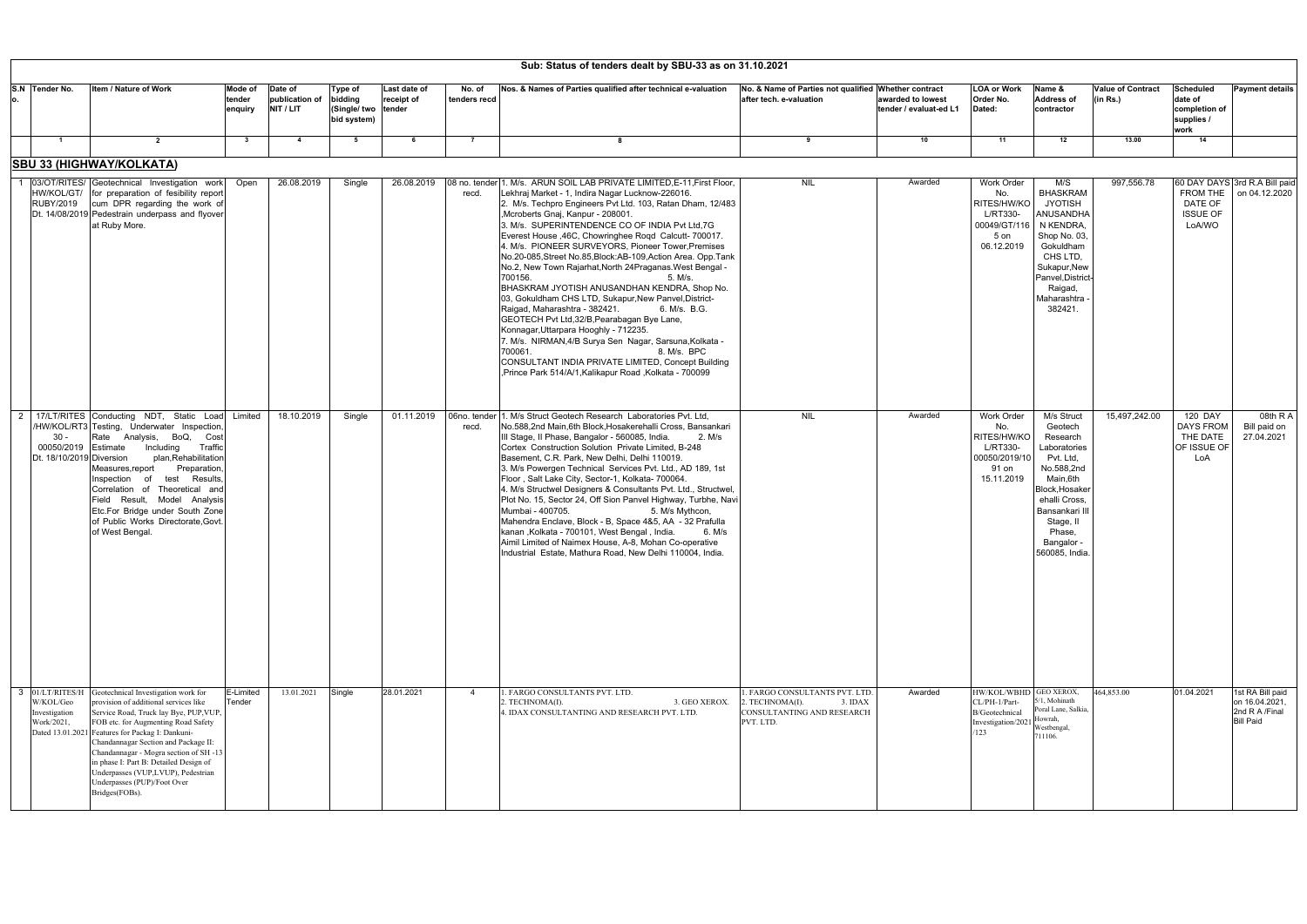| Sub: Status of tenders dealt by SBU-33 as on 31.10.2021          |                                                                                                                                                                                                                                                                                                                                                                                                                                                      |                              |                                        |                                                   |                                      |                        |                                                                                                                                                                                                                                                                                                                                                                                                                                                                                                                                                                                                                                                                                                                                                                                                                                                                                                                                                                                                              |                                                                                                       |                                             |                                                                                      |                                                                                                                                                                                                   |                                      |                                                                    |                                                                          |
|------------------------------------------------------------------|------------------------------------------------------------------------------------------------------------------------------------------------------------------------------------------------------------------------------------------------------------------------------------------------------------------------------------------------------------------------------------------------------------------------------------------------------|------------------------------|----------------------------------------|---------------------------------------------------|--------------------------------------|------------------------|--------------------------------------------------------------------------------------------------------------------------------------------------------------------------------------------------------------------------------------------------------------------------------------------------------------------------------------------------------------------------------------------------------------------------------------------------------------------------------------------------------------------------------------------------------------------------------------------------------------------------------------------------------------------------------------------------------------------------------------------------------------------------------------------------------------------------------------------------------------------------------------------------------------------------------------------------------------------------------------------------------------|-------------------------------------------------------------------------------------------------------|---------------------------------------------|--------------------------------------------------------------------------------------|---------------------------------------------------------------------------------------------------------------------------------------------------------------------------------------------------|--------------------------------------|--------------------------------------------------------------------|--------------------------------------------------------------------------|
| S.N Tender No.                                                   | <b>Item / Nature of Work</b>                                                                                                                                                                                                                                                                                                                                                                                                                         | Mode of<br>tender<br>enquiry | Date of<br>publication of<br>NIT / LIT | Type of<br>bidding<br>(Single/ two<br>bid system) | Last date of<br>receipt of<br>tender | No. of<br>tenders recd | Nos. & Names of Parties qualified after technical e-valuation                                                                                                                                                                                                                                                                                                                                                                                                                                                                                                                                                                                                                                                                                                                                                                                                                                                                                                                                                | No. & Name of Parties not qualified Whether contract<br>after tech. e-valuation                       | awarded to lowest<br>tender / evaluat-ed L1 | <b>LOA or Work</b><br>Order No.<br>Dated:                                            | Name &<br><b>Address of</b><br>contractor                                                                                                                                                         | <b>Value of Contract</b><br>(in Rs.) | <b>Scheduled</b><br>date of<br>completion of<br>supplies /<br>work | <b>Payment details</b>                                                   |
| $\blacksquare$                                                   | $\overline{2}$                                                                                                                                                                                                                                                                                                                                                                                                                                       | $\mathbf{3}$                 | $\overline{4}$                         | 5                                                 | - 6                                  | $\overline{7}$         |                                                                                                                                                                                                                                                                                                                                                                                                                                                                                                                                                                                                                                                                                                                                                                                                                                                                                                                                                                                                              | 9                                                                                                     | 10                                          | 11                                                                                   | 12                                                                                                                                                                                                | 13.00                                | 14                                                                 |                                                                          |
|                                                                  | <b>SBU 33 (HIGHWAY/KOLKATA)</b>                                                                                                                                                                                                                                                                                                                                                                                                                      |                              |                                        |                                                   |                                      |                        |                                                                                                                                                                                                                                                                                                                                                                                                                                                                                                                                                                                                                                                                                                                                                                                                                                                                                                                                                                                                              |                                                                                                       |                                             |                                                                                      |                                                                                                                                                                                                   |                                      |                                                                    |                                                                          |
| <b>RUBY/2019</b>                                                 | 03/OT/RITES/ Geotechnical Investigation work<br>HW/KOL/GT/ for preparation of fesibility report<br>cum DPR regarding the work of<br>Dt. 14/08/2019 Pedestrain underpass and flyover<br>at Ruby More.                                                                                                                                                                                                                                                 | Open                         | 26.08.2019                             | Single                                            | 26.08.2019                           | recd.                  | 08 no. tender 1. M/s. ARUN SOIL LAB PRIVATE LIMITED, E-11, First Floor,<br>Lekhraj Market - 1, Indira Nagar Lucknow-226016.<br>2. M/s. Techpro Engineers Pvt Ltd. 103, Ratan Dham, 12/483<br>,Mcroberts Gnaj, Kanpur - 208001.<br>3. M/s. SUPERINTENDENCE CO OF INDIA Pvt Ltd, 7G<br>Everest House , 46C, Chowringhee Rogd Calcutt- 700017.<br>4. M/s. PIONEER SURVEYORS, Pioneer Tower, Premises<br>No.20-085, Street No.85, Block: AB-109, Action Area. Opp. Tank<br>No.2, New Town Rajarhat, North 24Praganas. West Bengal -<br>700156.<br>5. M/s.<br>BHASKRAM JYOTISH ANUSANDHAN KENDRA, Shop No.<br>03, Gokuldham CHS LTD, Sukapur, New Panvel, District-<br>Raigad, Maharashtra - 382421.<br>6. M/s. B.G.<br>GEOTECH Pvt Ltd, 32/B, Pearabagan Bye Lane,<br>Konnagar, Uttarpara Hooghly - 712235.<br>7. M/s. NIRMAN, 4/B Surya Sen Nagar, Sarsuna, Kolkata -<br>8. M/s. BPC<br>700061.<br>CONSULTANT INDIA PRIVATE LIMITED, Concept Building<br>Frince Park 514/A/1, Kalikapur Road, Kolkata - 700099. | NIL                                                                                                   | Awarded                                     | Work Order<br>No.<br>RITES/HW/KO<br>L/RT330-<br>00049/GT/116<br>5 on<br>06.12.2019   | M/S<br><b>BHASKRAM</b><br><b>JYOTISH</b><br>ANUSANDHA<br>N KENDRA.<br>Shop No. 03<br>Gokuldham<br>CHS LTD,<br>Sukapur, New<br>Panvel, District<br>Raigad,<br>Maharashtra<br>382421                | 997,556.78                           | FROM THE<br>DATE OF<br><b>ISSUE OF</b><br>LoA/WO                   | 60 DAY DAYS 3rd R.A Bill paid<br>on 04.12.2020                           |
| $\overline{2}$<br>30 -<br>00050/2019<br>Dt. 18/10/2019 Diversion | 17/LT/RITES Conducting NDT, Static Load Limited<br>/HW/KOL/RT3 Testing, Underwater Inspection<br>Rate Analysis, BoQ, Cost<br>Including<br>Traffic<br>Estimate<br>plan, Rehabilitation<br>Measures, report<br>Preparation<br>Results.<br>Inspection<br>of<br>test<br>Correlation of Theoretical and<br>Field Result, Model Analysis<br>Etc.For Bridge under South Zone<br>of Public Works Directorate.Govt<br>of West Bengal.                         |                              | 18.10.2019                             | Single                                            | 01.11.2019                           | recd.                  | 06no. tender 1. M/s Struct Geotech Research Laboratories Pvt. Ltd.<br>No.588,2nd Main,6th Block, Hosakerehalli Cross, Bansankari<br>III Stage, II Phase, Bangalor - 560085, India.<br>2. M/s<br>Cortex Construction Solution Private Limited, B-248<br>Basement, C.R. Park, New Delhi, Delhi 110019<br>3. M/s Powergen Technical Services Pvt. Ltd., AD 189, 1st<br>Floor, Salt Lake City, Sector-1, Kolkata- 700064<br>4. M/s Structwel Designers & Consultants Pvt. Ltd., Structwel<br>Plot No. 15, Sector 24, Off Sion Panvel Highway, Turbhe, Navi<br>Mumbai - 400705.<br>5. M/s Mythcon,<br>Mahendra Enclave, Block - B, Space 4&5, AA - 32 Prafulla<br>kanan, Kolkata - 700101, West Bengal, India.<br>6. M/s<br>Aimil Limited of Naimex House, A-8, Mohan Co-operative<br>Industrial Estate, Mathura Road, New Delhi 110004, India.                                                                                                                                                                   | <b>NIL</b>                                                                                            | Awarded                                     | Work Order<br>No.<br>RITES/HW/KO<br>L/RT330-<br>00050/2019/10<br>91 on<br>15.11.2019 | M/s Struct<br>Geotech<br>Research<br>Laboratories<br>Pvt. Ltd.<br>No.588,2nd<br>Main,6th<br>Block, Hosake<br>ehalli Cross.<br>Bansankari II<br>Stage, II<br>Phase.<br>Bangalor -<br>560085, India | 15,497,242.00                        | 120 DAY<br><b>DAYS FROM</b><br>THE DATE<br>OF ISSUE OF<br>LoA      | 08th RA<br>Bill paid on<br>27.04.2021                                    |
| W/KOL/Geo<br>Investigation<br>Work/2021,                         | 3 01/LT/RITES/H Geotechnical Investigation work for<br>provision of additional services like<br>Service Road, Truck lay Bye, PUP, VUP,<br>FOB etc. for Augmenting Road Safety<br>Dated 13.01.2021 Features for Packag I: Dankuni-<br>Chandannagar Section and Package II:<br>Chandannagar - Mogra section of SH -13<br>in phase I: Part B: Detailed Design of<br>Underpasses (VUP,LVUP), Pedestrian<br>Underpasses (PUP)/Foot Over<br>Bridges(FOBs). | E-Limited<br>Tender          | 13.01.2021                             | Single                                            | 28.01.2021                           | $\overline{4}$         | 1. FARGO CONSULTANTS PVT. LTD.<br>3. GEO XEROX.<br>2. TECHNOMA(I).<br>4. IDAX CONSULTANTING AND RESEARCH PVT. LTD.                                                                                                                                                                                                                                                                                                                                                                                                                                                                                                                                                                                                                                                                                                                                                                                                                                                                                           | . FARGO CONSULTANTS PVT. LTD.<br>. TECHNOMA(I).<br>3. IDAX<br>CONSULTANTING AND RESEARCH<br>PVT. LTD. | Awarded                                     | HW/KOL/WBHD<br>CL/PH-1/Part-<br>B/Geotechnical<br>Investigation/202<br>/123          | GEO XEROX,<br>5/1, Mohinath<br>Poral Lane, Salkia,<br>Howrah,<br>Westbengal,<br>711106.                                                                                                           | 464,853.00                           | 01.04.2021                                                         | 1st RA Bill paid<br>on 16.04.2021,<br>2nd R A /Final<br><b>Bill Paid</b> |